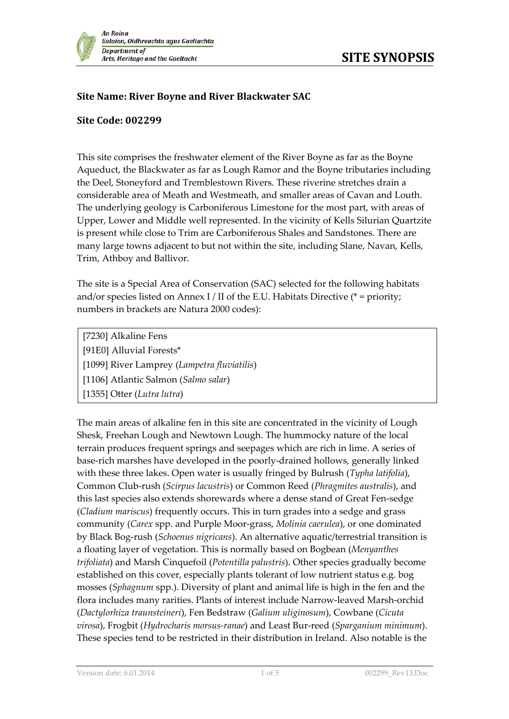

## **Site Name: River Boyne and River Blackwater SAC**

## **Site Code: 002299**

This site comprises the freshwater element of the River Boyne as far as the Boyne Aqueduct, the Blackwater as far as Lough Ramor and the Boyne tributaries including the Deel, Stoneyford and Tremblestown Rivers. These riverine stretches drain a considerable area of Meath and Westmeath, and smaller areas of Cavan and Louth. The underlying geology is Carboniferous Limestone for the most part, with areas of Upper, Lower and Middle well represented. In the vicinity of Kells Silurian Quartzite is present while close to Trim are Carboniferous Shales and Sandstones. There are many large towns adjacent to but not within the site, including Slane, Navan, Kells, Trim, Athboy and Ballivor.

The site is a Special Area of Conservation (SAC) selected for the following habitats and/or species listed on Annex I / II of the E.U. Habitats Directive ( $*$  = priority; numbers in brackets are Natura 2000 codes):

[7230] Alkaline Fens [91E0] Alluvial Forests\* [1099] River Lamprey (*Lampetra fluviatilis*) [1106] Atlantic Salmon (*Salmo salar*) [1355] Otter (*Lutra lutra*)

The main areas of alkaline fen in this site are concentrated in the vicinity of Lough Shesk, Freehan Lough and Newtown Lough. The hummocky nature of the local terrain produces frequent springs and seepages which are rich in lime. A series of base-rich marshes have developed in the poorly-drained hollows, generally linked with these three lakes. Open water is usually fringed by Bulrush (*Typha latifolia*), Common Club-rush (*Scirpus lacustris*) or Common Reed (*Phragmites australis*), and this last species also extends shorewards where a dense stand of Great Fen-sedge (*Cladium mariscus*) frequently occurs. This in turn grades into a sedge and grass community (*Carex* spp. and Purple Moor-grass, *Molinia caerulea*), or one dominated by Black Bog-rush (*Schoenus nigricans*). An alternative aquatic/terrestrial transition is a floating layer of vegetation. This is normally based on Bogbean (*Menyanthes trifoliata*) and Marsh Cinquefoil (*Potentilla palustris*). Other species gradually become established on this cover, especially plants tolerant of low nutrient status e.g. bog mosses (*Sphagnum* spp.). Diversity of plant and animal life is high in the fen and the flora includes many rarities. Plants of interest include Narrow-leaved Marsh-orchid (*Dactylorhiza traunsteineri*), Fen Bedstraw (*Galium uliginosum*), Cowbane (*Cicuta virosa*), Frogbit (*Hydrocharis morsus-ranae*) and Least Bur-reed (*Sparganium minimum*). These species tend to be restricted in their distribution in Ireland. Also notable is the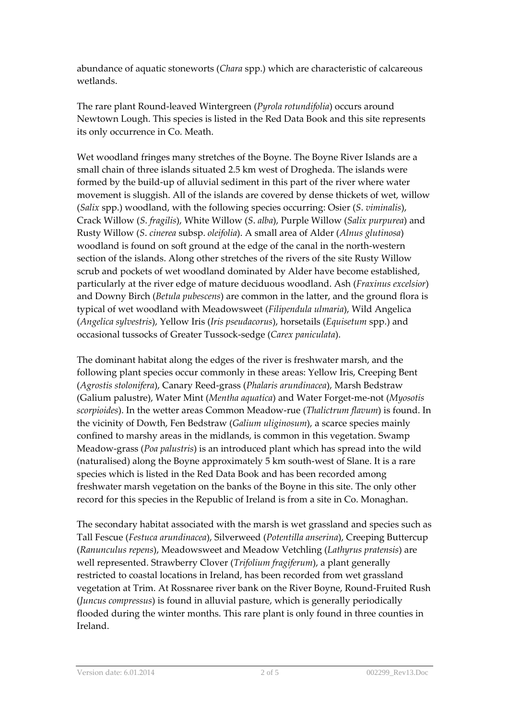abundance of aquatic stoneworts (*Chara* spp.) which are characteristic of calcareous wetlands.

The rare plant Round-leaved Wintergreen (*Pyrola rotundifolia*) occurs around Newtown Lough. This species is listed in the Red Data Book and this site represents its only occurrence in Co. Meath.

Wet woodland fringes many stretches of the Boyne. The Boyne River Islands are a small chain of three islands situated 2.5 km west of Drogheda. The islands were formed by the build-up of alluvial sediment in this part of the river where water movement is sluggish. All of the islands are covered by dense thickets of wet, willow (*Salix* spp.) woodland, with the following species occurring: Osier (*S*. *viminalis*), Crack Willow (*S*. *fragilis*), White Willow (*S*. *alba*), Purple Willow (*Salix purpurea*) and Rusty Willow (*S*. *cinerea* subsp. *oleifolia*). A small area of Alder (*Alnus glutinosa*) woodland is found on soft ground at the edge of the canal in the north-western section of the islands. Along other stretches of the rivers of the site Rusty Willow scrub and pockets of wet woodland dominated by Alder have become established, particularly at the river edge of mature deciduous woodland. Ash (*Fraxinus excelsior*) and Downy Birch (*Betula pubescens*) are common in the latter, and the ground flora is typical of wet woodland with Meadowsweet (*Filipendula ulmaria*), Wild Angelica (*Angelica sylvestris*), Yellow Iris (*Iris pseudacorus*), horsetails (*Equisetum* spp.) and occasional tussocks of Greater Tussock-sedge (*Carex paniculata*).

The dominant habitat along the edges of the river is freshwater marsh, and the following plant species occur commonly in these areas: Yellow Iris, Creeping Bent (*Agrostis stolonifera*), Canary Reed-grass (*Phalaris arundinacea*), Marsh Bedstraw (Galium palustre), Water Mint (*Mentha aquatica*) and Water Forget-me-not (*Myosotis scorpioides*). In the wetter areas Common Meadow-rue (*Thalictrum flavum*) is found. In the vicinity of Dowth, Fen Bedstraw (*Galium uliginosum*), a scarce species mainly confined to marshy areas in the midlands, is common in this vegetation. Swamp Meadow-grass (*Poa palustris*) is an introduced plant which has spread into the wild (naturalised) along the Boyne approximately 5 km south-west of Slane. It is a rare species which is listed in the Red Data Book and has been recorded among freshwater marsh vegetation on the banks of the Boyne in this site. The only other record for this species in the Republic of Ireland is from a site in Co. Monaghan.

The secondary habitat associated with the marsh is wet grassland and species such as Tall Fescue (*Festuca arundinacea*), Silverweed (*Potentilla anserina*), Creeping Buttercup (*Ranunculus repens*), Meadowsweet and Meadow Vetchling (*Lathyrus pratensis*) are well represented. Strawberry Clover (*Trifolium fragiferum*), a plant generally restricted to coastal locations in Ireland, has been recorded from wet grassland vegetation at Trim. At Rossnaree river bank on the River Boyne, Round-Fruited Rush (*Juncus compressus*) is found in alluvial pasture, which is generally periodically flooded during the winter months. This rare plant is only found in three counties in Ireland.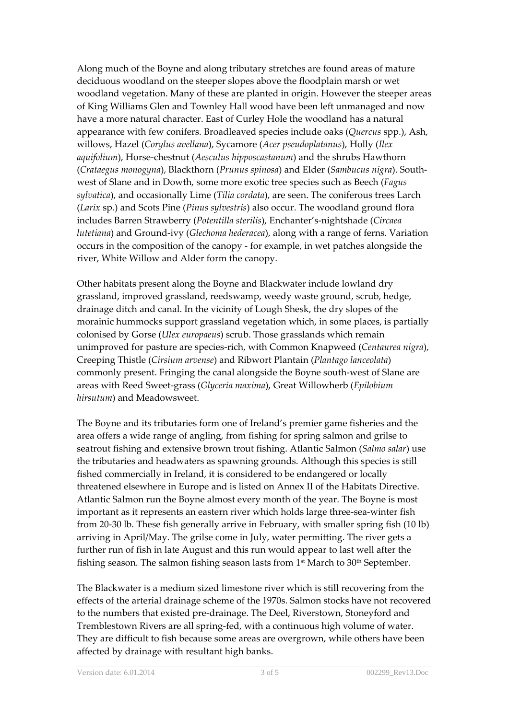Along much of the Boyne and along tributary stretches are found areas of mature deciduous woodland on the steeper slopes above the floodplain marsh or wet woodland vegetation. Many of these are planted in origin. However the steeper areas of King Williams Glen and Townley Hall wood have been left unmanaged and now have a more natural character. East of Curley Hole the woodland has a natural appearance with few conifers. Broadleaved species include oaks (*Quercus* spp.), Ash, willows, Hazel (*Corylus avellana*), Sycamore (*Acer pseudoplatanus*), Holly (*Ilex aquifolium*), Horse-chestnut (*Aesculus hipposcastanum*) and the shrubs Hawthorn (*Crataegus monogyna*), Blackthorn (*Prunus spinosa*) and Elder (*Sambucus nigra*). Southwest of Slane and in Dowth, some more exotic tree species such as Beech (*Fagus sylvatica*), and occasionally Lime (*Tilia cordata*), are seen. The coniferous trees Larch (*Larix* sp.) and Scots Pine (*Pinus sylvestris*) also occur. The woodland ground flora includes Barren Strawberry (*Potentilla sterilis*), Enchanter's-nightshade (*Circaea lutetiana*) and Ground-ivy (*Glechoma hederacea*), along with a range of ferns. Variation occurs in the composition of the canopy - for example, in wet patches alongside the river, White Willow and Alder form the canopy.

Other habitats present along the Boyne and Blackwater include lowland dry grassland, improved grassland, reedswamp, weedy waste ground, scrub, hedge, drainage ditch and canal. In the vicinity of Lough Shesk, the dry slopes of the morainic hummocks support grassland vegetation which, in some places, is partially colonised by Gorse (*Ulex europaeus*) scrub. Those grasslands which remain unimproved for pasture are species-rich, with Common Knapweed (*Centaurea nigra*), Creeping Thistle (*Cirsium arvense*) and Ribwort Plantain (*Plantago lanceolata*) commonly present. Fringing the canal alongside the Boyne south-west of Slane are areas with Reed Sweet-grass (*Glyceria maxima*), Great Willowherb (*Epilobium hirsutum*) and Meadowsweet.

The Boyne and its tributaries form one of Ireland's premier game fisheries and the area offers a wide range of angling, from fishing for spring salmon and grilse to seatrout fishing and extensive brown trout fishing. Atlantic Salmon (*Salmo salar*) use the tributaries and headwaters as spawning grounds. Although this species is still fished commercially in Ireland, it is considered to be endangered or locally threatened elsewhere in Europe and is listed on Annex II of the Habitats Directive. Atlantic Salmon run the Boyne almost every month of the year. The Boyne is most important as it represents an eastern river which holds large three-sea-winter fish from 20-30 lb. These fish generally arrive in February, with smaller spring fish (10 lb) arriving in April/May. The grilse come in July, water permitting. The river gets a further run of fish in late August and this run would appear to last well after the fishing season. The salmon fishing season lasts from  $1<sup>st</sup>$  March to  $30<sup>th</sup>$  September.

The Blackwater is a medium sized limestone river which is still recovering from the effects of the arterial drainage scheme of the 1970s. Salmon stocks have not recovered to the numbers that existed pre-drainage. The Deel, Riverstown, Stoneyford and Tremblestown Rivers are all spring-fed, with a continuous high volume of water. They are difficult to fish because some areas are overgrown, while others have been affected by drainage with resultant high banks.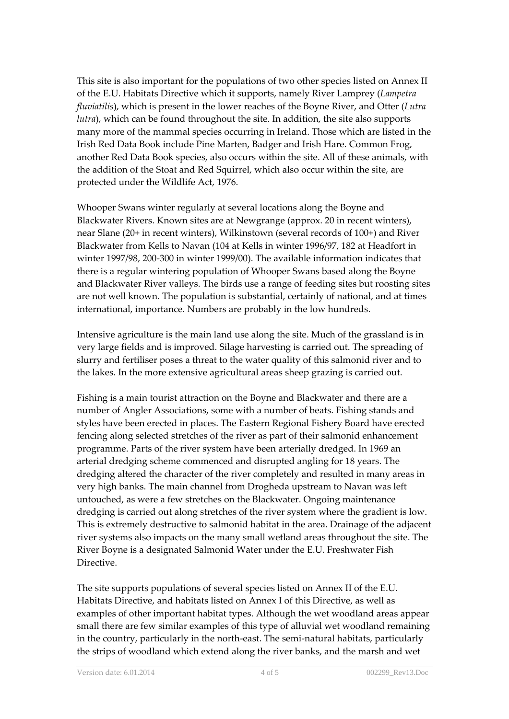This site is also important for the populations of two other species listed on Annex II of the E.U. Habitats Directive which it supports, namely River Lamprey (*Lampetra fluviatilis*), which is present in the lower reaches of the Boyne River, and Otter (*Lutra lutra*), which can be found throughout the site. In addition, the site also supports many more of the mammal species occurring in Ireland. Those which are listed in the Irish Red Data Book include Pine Marten, Badger and Irish Hare. Common Frog, another Red Data Book species, also occurs within the site. All of these animals, with the addition of the Stoat and Red Squirrel, which also occur within the site, are protected under the Wildlife Act, 1976.

Whooper Swans winter regularly at several locations along the Boyne and Blackwater Rivers. Known sites are at Newgrange (approx. 20 in recent winters), near Slane (20+ in recent winters), Wilkinstown (several records of 100+) and River Blackwater from Kells to Navan (104 at Kells in winter 1996/97, 182 at Headfort in winter 1997/98, 200-300 in winter 1999/00). The available information indicates that there is a regular wintering population of Whooper Swans based along the Boyne and Blackwater River valleys. The birds use a range of feeding sites but roosting sites are not well known. The population is substantial, certainly of national, and at times international, importance. Numbers are probably in the low hundreds.

Intensive agriculture is the main land use along the site. Much of the grassland is in very large fields and is improved. Silage harvesting is carried out. The spreading of slurry and fertiliser poses a threat to the water quality of this salmonid river and to the lakes. In the more extensive agricultural areas sheep grazing is carried out.

Fishing is a main tourist attraction on the Boyne and Blackwater and there are a number of Angler Associations, some with a number of beats. Fishing stands and styles have been erected in places. The Eastern Regional Fishery Board have erected fencing along selected stretches of the river as part of their salmonid enhancement programme. Parts of the river system have been arterially dredged. In 1969 an arterial dredging scheme commenced and disrupted angling for 18 years. The dredging altered the character of the river completely and resulted in many areas in very high banks. The main channel from Drogheda upstream to Navan was left untouched, as were a few stretches on the Blackwater. Ongoing maintenance dredging is carried out along stretches of the river system where the gradient is low. This is extremely destructive to salmonid habitat in the area. Drainage of the adjacent river systems also impacts on the many small wetland areas throughout the site. The River Boyne is a designated Salmonid Water under the E.U. Freshwater Fish Directive.

The site supports populations of several species listed on Annex II of the E.U. Habitats Directive, and habitats listed on Annex I of this Directive, as well as examples of other important habitat types. Although the wet woodland areas appear small there are few similar examples of this type of alluvial wet woodland remaining in the country, particularly in the north-east. The semi-natural habitats, particularly the strips of woodland which extend along the river banks, and the marsh and wet